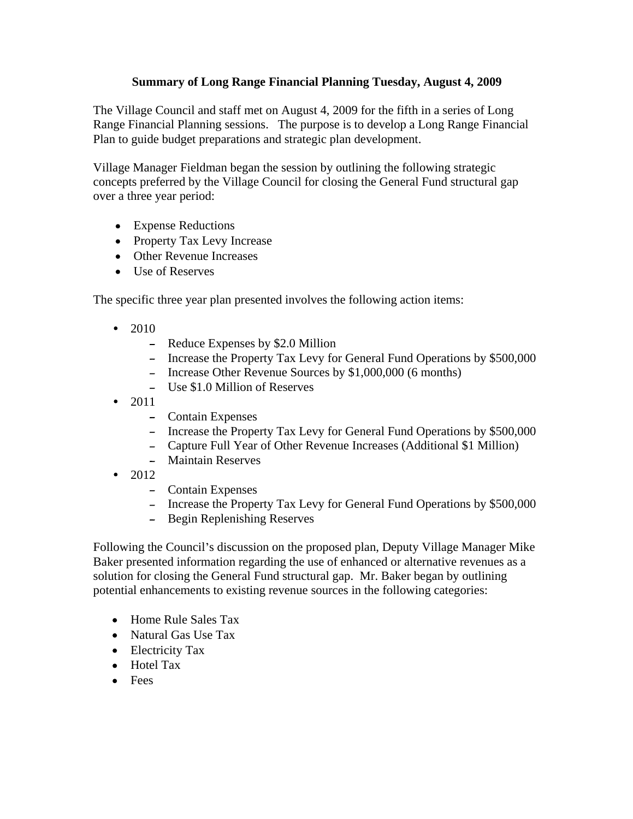## **Summary of Long Range Financial Planning Tuesday, August 4, 2009**

The Village Council and staff met on August 4, 2009 for the fifth in a series of Long Range Financial Planning sessions. The purpose is to develop a Long Range Financial Plan to guide budget preparations and strategic plan development.

Village Manager Fieldman began the session by outlining the following strategic concepts preferred by the Village Council for closing the General Fund structural gap over a three year period:

- Expense Reductions
- Property Tax Levy Increase
- Other Revenue Increases
- Use of Reserves

The specific three year plan presented involves the following action items:

- 2010
	- Reduce Expenses by \$2.0 Million
	- Increase the Property Tax Levy for General Fund Operations by \$500,000
	- Increase Other Revenue Sources by \$1,000,000 (6 months)
	- Use \$1.0 Million of Reserves
- 2011
	- Contain Expenses
	- Increase the Property Tax Levy for General Fund Operations by \$500,000  $\equiv$
	- Capture Full Year of Other Revenue Increases (Additional \$1 Million)
	- Maintain Reserves
- $\bullet$ 2012
	- Contain Expenses
	- Increase the Property Tax Levy for General Fund Operations by \$500,000
	- $\sim$ Begin Replenishing Reserves

Following the Council's discussion on the proposed plan, Deputy Village Manager Mike Baker presented information regarding the use of enhanced or alternative revenues as a solution for closing the General Fund structural gap. Mr. Baker began by outlining potential enhancements to existing revenue sources in the following categories:

- Home Rule Sales Tax
- Natural Gas Use Tax
- Electricity Tax
- Hotel Tax
- Fees